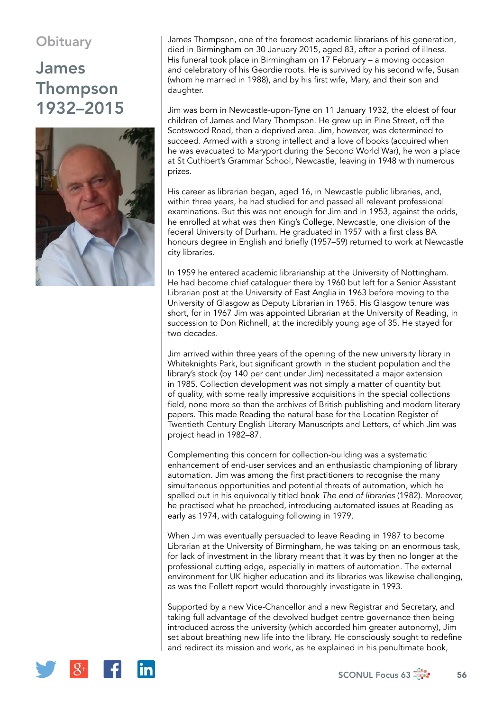## **Obituary**

## James Thompson 1932–2015



James Thompson, one of the foremost academic librarians of his generation, died in Birmingham on 30 January 2015, aged 83, after a period of illness. His funeral took place in Birmingham on 17 February – a moving occasion and celebratory of his Geordie roots. He is survived by his second wife, Susan (whom he married in 1988), and by his first wife, Mary, and their son and daughter.

Jim was born in Newcastle-upon-Tyne on 11 January 1932, the eldest of four children of James and Mary Thompson. He grew up in Pine Street, off the Scotswood Road, then a deprived area. Jim, however, was determined to succeed. Armed with a strong intellect and a love of books (acquired when he was evacuated to Maryport during the Second World War), he won a place at St Cuthbert's Grammar School, Newcastle, leaving in 1948 with numerous prizes.

His career as librarian began, aged 16, in Newcastle public libraries, and, within three years, he had studied for and passed all relevant professional examinations. But this was not enough for Jim and in 1953, against the odds, he enrolled at what was then King's College, Newcastle, one division of the federal University of Durham. He graduated in 1957 with a first class BA honours degree in English and briefly (1957–59) returned to work at Newcastle city libraries.

In 1959 he entered academic librarianship at the University of Nottingham. He had become chief cataloguer there by 1960 but left for a Senior Assistant Librarian post at the University of East Anglia in 1963 before moving to the University of Glasgow as Deputy Librarian in 1965. His Glasgow tenure was short, for in 1967 Jim was appointed Librarian at the University of Reading, in succession to Don Richnell, at the incredibly young age of 35. He stayed for two decades.

Jim arrived within three years of the opening of the new university library in Whiteknights Park, but significant growth in the student population and the library's stock (by 140 per cent under Jim) necessitated a major extension in 1985. Collection development was not simply a matter of quantity but of quality, with some really impressive acquisitions in the special collections field, none more so than the archives of British publishing and modern literary papers. This made Reading the natural base for the Location Register of Twentieth Century English Literary Manuscripts and Letters, of which Jim was project head in 1982–87.

Complementing this concern for collection-building was a systematic enhancement of end-user services and an enthusiastic championing of library automation. Jim was among the first practitioners to recognise the many simultaneous opportunities and potential threats of automation, which he spelled out in his equivocally titled book *The end of libraries* (1982). Moreover, he practised what he preached, introducing automated issues at Reading as early as 1974, with cataloguing following in 1979.

When Jim was eventually persuaded to leave Reading in 1987 to become Librarian at the University of Birmingham, he was taking on an enormous task, for lack of investment in the library meant that it was by then no longer at the professional cutting edge, especially in matters of automation. The external environment for UK higher education and its libraries was likewise challenging, as was the Follett report would thoroughly investigate in 1993.

Supported by a new Vice-Chancellor and a new Registrar and Secretary, and taking full advantage of the devolved budget centre governance then being introduced across the university (which accorded him greater autonomy), Jim set about breathing new life into the library. He consciously sought to redefine and redirect its mission and work, as he explained in his penultimate book,